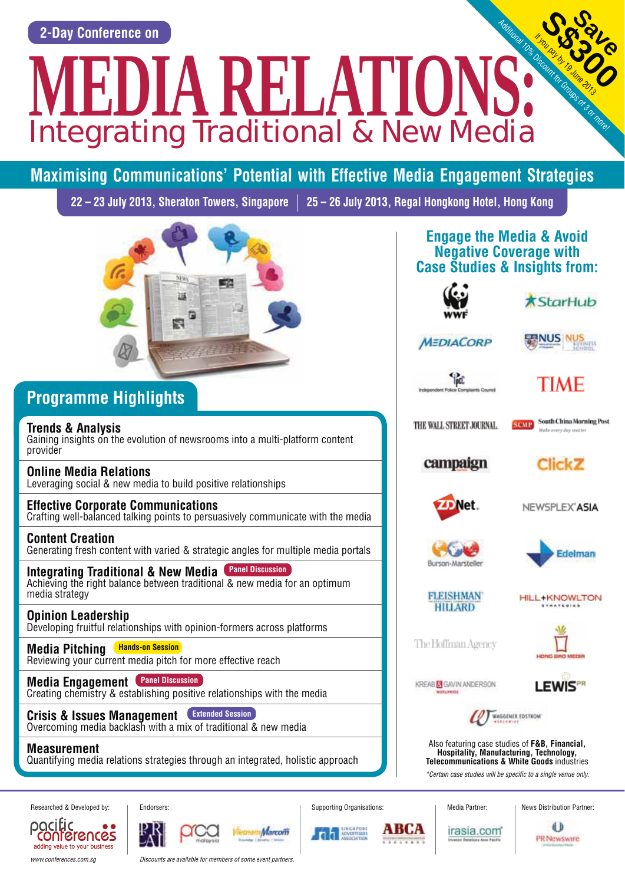**2-Day Conference on** Integrating Traditional & New Media **MEDIA RELATIONS:** 

# **Maximising Communications' Potential with Effective Media Engagement Strategies**

**22 – 23 July 2013, Sheraton Towers, Singapore 25 – 26 July 2013, Regal Hongkong Hotel, Hong Kong**



## **Programme Highlights**

**Trends & Analysis**  Gaining insights on the evolution of newsrooms into a multi-platform content provider

**Online Media Relations**  Leveraging social & new media to build positive relationships

### **Effective Corporate Communications**

Crafting well-balanced talking points to persuasively communicate with the media

**Content Creation**  Generating fresh content with varied & strategic angles for multiple media portals

**Integrating Traditional & New Media Panel Discussion** Achieving the right balance between traditional & new media for an optimum media strategy

**Opinion Leadership**  Developing fruitful relationships with opinion-formers across platforms

**Media Pitching Hands-on Session** Reviewing your current media pitch for more effective reach

**Media Engagement Panel Discussion** Creating chemistry & establishing positive relationships with the media

**Crisis & Issues Management Extended Session**Overcoming media backlash with a mix of traditional & new media

**Measurement**

pocific

Quantifying media relations strategies through an integrated, holistic approach

**Engage the Media & Avoid Negative Coverage with Case Studies & Insights from:**





**SS316** 

If you pay by 19 June 2013

**Save** 

**MEDIACORP** 

**NUS NUS** 



# TIME

THE WALL STREET JOURNAL



campaign





NEWSPLEX<sup>\*</sup>ASIA





**FLEISHMAN HILLARD** 

**HILL+KNOWLTON** 

The Hoffman Agency



KREAB **M** GAVIN ANDERSON

**LEWISPR** 



Also featuring case studies of **F&B, Financial, Hospitality, Manufacturing, Technology, Telecommunications & White Goods** industries \*Certain case studies will be specific to a single venue only.

irasia.com

Researched & Developed by: | Endorsers: Supporting Organisations: | Media Partner: | News Distribution Partner:



conferences adding value to your business www.conferences.com.sg **Discounts are available for members of some event partners** 







авса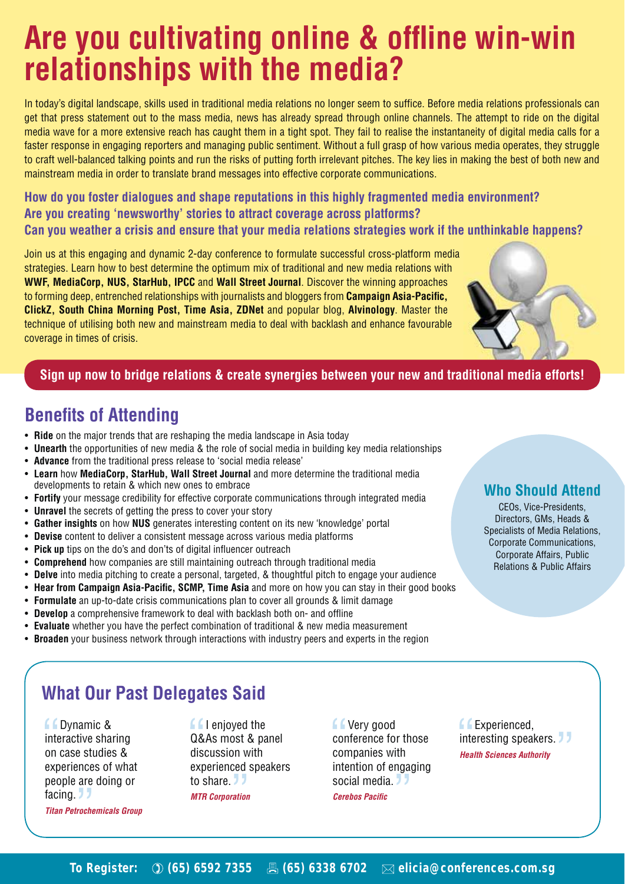# **Are you cultivating online & offline win-win relationships with the media?**

In today's digital landscape, skills used in traditional media relations no longer seem to suffice. Before media relations professionals can get that press statement out to the mass media, news has already spread through online channels. The attempt to ride on the digital media wave for a more extensive reach has caught them in a tight spot. They fail to realise the instantaneity of digital media calls for a faster response in engaging reporters and managing public sentiment. Without a full grasp of how various media operates, they struggle to craft well-balanced talking points and run the risks of putting forth irrelevant pitches. The key lies in making the best of both new and mainstream media in order to translate brand messages into effective corporate communications.

**How do you foster dialogues and shape reputations in this highly fragmented media environment? Are you creating 'newsworthy' stories to attract coverage across platforms? Can you weather a crisis and ensure that your media relations strategies work if the unthinkable happens?**

Join us at this engaging and dynamic 2-day conference to formulate successful cross-platform media strategies. Learn how to best determine the optimum mix of traditional and new media relations with **WWF, MediaCorp, NUS, StarHub, IPCC** and **Wall Street Journal**. Discover the winning approaches to forming deep, entrenched relationships with journalists and bloggers from **Campaign Asia-Pacific, ClickZ, South China Morning Post, Time Asia, ZDNet** and popular blog, **Alvinology**. Master the technique of utilising both new and mainstream media to deal with backlash and enhance favourable coverage in times of crisis.



### **Sign up now to bridge relations & create synergies between your new and traditional media efforts!**

## **Benefits of Attending**

- **Ride** on the major trends that are reshaping the media landscape in Asia today
- **Unearth** the opportunities of new media & the role of social media in building key media relationships
- **Advance** from the traditional press release to 'social media release'
- s **Learn** how **MediaCorp, StarHub, Wall Street Journal** and more determine the traditional media developments to retain & which new ones to embrace
- **Fortify** your message credibility for effective corporate communications through integrated media
- **Unravel** the secrets of getting the press to cover your story
- **Gather insights** on how **NUS** generates interesting content on its new 'knowledge' portal
- **Devise** content to deliver a consistent message across various media platforms
- Pick up tips on the do's and don'ts of digital influencer outreach
- **Comprehend** how companies are still maintaining outreach through traditional media
- **Delve** into media pitching to create a personal, targeted, & thoughtful pitch to engage your audience
- **Hear from Campaign Asia-Pacific, SCMP, Time Asia and more on how you can stay in their good books**
- s **Formulate** an up-to-date crisis communications plan to cover all grounds & limit damage
- **Develop** a comprehensive framework to deal with backlash both on- and offline
- **Evaluate** whether you have the perfect combination of traditional & new media measurement
- **Broaden** your business network through interactions with industry peers and experts in the region

### **Who Should Attend**

CEOs, Vice-Presidents, Directors, GMs, Heads & Specialists of Media Relations, Corporate Communications, Corporate Affairs, Public Relations & Public Affairs

## **What Our Past Delegates Said**

**f** Dynamic & interactive sharing on case studies & experiences of what people are doing or facing. **J** *Titan Petrochemicals Group*

**I** I enjoyed the Q&As most & panel discussion with experienced speakers to share. *MTR Corporation*

**Let** Very good conference for those companies with intention of engaging social media. *Cerebos Pacific* 

**Experienced.** interesting speakers. *Health Sciences Authority*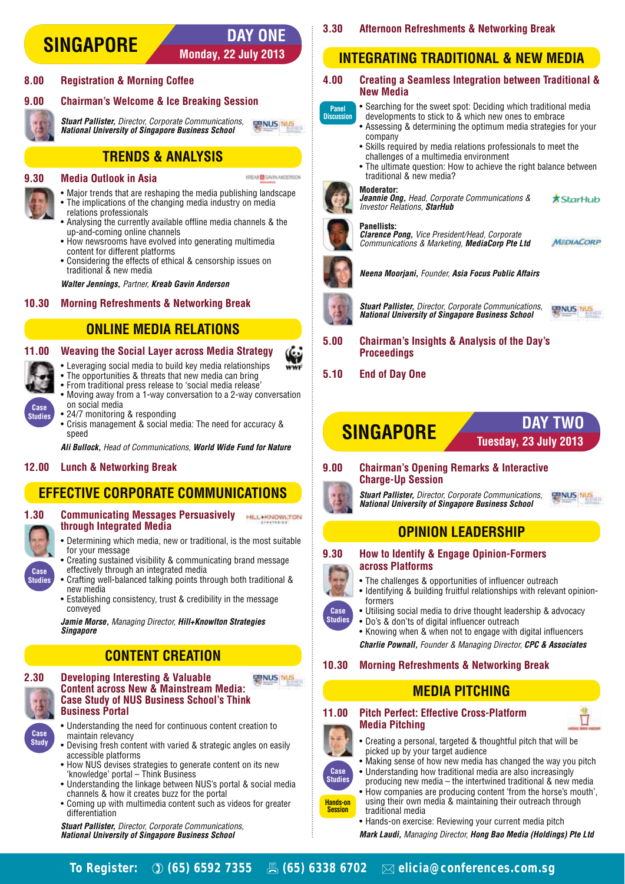### **Monday, 22 July 2013 DAY ONE SINGAPORE**

KREAB **ER** GAVIN ANDERSON

### **8.00 Registration & Morning Coffee**

### **9.00 Chairman's Welcome & Ice Breaking Session**

#### **ENUS NUS**  *Stuart Pallister,* Director, Corporate Communications, *National University of Singapore Business School*

**TRENDS & ANALYSIS**

### **9.30 Media Outlook in Asia**

- Major trends that are reshaping the media publishing landscape
- The implications of the changing media industry on media relations professionals
- Analysing the currently available offline media channels & the up-and-coming online channels
- How newsrooms have evolved into generating multimedia content for different platforms
- Considering the effects of ethical & censorship issues on traditional & new media

 *Walter Jennings,* Partner, *Kreab Gavin Anderson*

### **10.30 Morning Refreshments & Networking Break**

### **ONLINE MEDIA RELATIONS**

### **11.00 Weaving the Social Layer across Media Strategy**

- Leveraging social media to build key media relationships
- The opportunities & threats that new media can bring
- From traditional press release to 'social media release'
- Moving away from a 1-way conversation to a 2-way conversation on social media
- 24/7 monitoring & responding
- Crisis management & social media: The need for accuracy & speed

 *Ali Bullock,* Head of Communications, *World Wide Fund for Nature*

### **12.00 Lunch & Networking Break**

### **EFFECTIVE CORPORATE COMMUNICATIONS**

**Case Studies**

**1.30 Communicating Messages Persuasively HELMONOWLTON through Integrated Media**

- Determining which media, new or traditional, is the most suitable for your message
- Creating sustained visibility & communicating brand message effectively through an integrated media
- Crafting well-balanced talking points through both traditional & new media
- Establishing consistency, trust & credibility in the message conveyed

 *Jamie Morse,* Managing Director, *Hill+Knowlton Strategies Singapore*

### **CONTENT CREATION**



**Case Study**

**2.30 Developing Interesting & Valuable ENUS NUS Content across New & Mainstream Media: Case Study of NUS Business School's Think Business Portal**

- Understanding the need for continuous content creation to maintain relevancy
- Devising fresh content with varied & strategic angles on easily accessible platforms
- How NUS devises strategies to generate content on its new 'knowledge' portal – Think Business
- Understanding the linkage between NUS's portal & social media channels & how it creates buzz for the portal
- Coming up with multimedia content such as videos for greater differentiation

 *Stuart Pallister,* Director, Corporate Communications, *National University of Singapore Business School*

### **3.30 Afternoon Refreshments & Networking Break**

### **INTEGRATING TRADITIONAL & NEW MEDIA**

### **4.00 Creating a Seamless Integration between Traditional & New Media**

- Searching for the sweet spot: Deciding which traditional media **Panel Discussion**
	- developments to stick to & which new ones to embrace • Assessing & determining the optimum media strategies for your
		- company
	- Skills required by media relations professionals to meet the challenges of a multimedia environment
	- The ultimate question: How to achieve the right balance between traditional & new media?

#### **Moderator:**



 *Jeannie Ong,* Head, Corporate Communications & **\*StarHub** Investor Relations, *StarHub* 

#### **Panellists:**  *Clarence Pong,* Vice President/Head, Corporate



Communications & Marketing, *MediaCorp Pte Ltd*

 *Neena Moorjani,* Founder, *Asia Focus Public Affairs*



(G)

 *Stuart Pallister,* Director, Corporate Communications, *National University of Singapore Business School* 



MEDIACORP

**5.00 Chairman's Insights & Analysis of the Day's Proceedings**

### **5.10 End of Day One**



### **9.00 Chairman's Opening Remarks & Interactive Charge-Up Session**

 *Stuart Pallister,* Director, Corporate Communications, *National University of Singapore Business School*



### **OPINION LEADERSHIP**

### **9.30 How to Identify & Engage Opinion-Formers across Platforms**

- The challenges & opportunities of influencer outreach
- Identifying & building fruitful relationships with relevant opinionformers
- Utilising social media to drive thought leadership & advocacy • Do's & don'ts of digital influencer outreach
- Knowing when & when not to engage with digital influencers  *Charlie Pownall,* Founder & Managing Director, *CPC & Associates*

### **10.30 Morning Refreshments & Networking Break**

### **MEDIA PITCHING**



- Π
- Creating a personal, targeted & thoughtful pitch that will be picked up by your target audience
- Making sense of how new media has changed the way you pitch • Understanding how traditional media are also increasingly
- producing new media the intertwined traditional & new media • How companies are producing content 'from the horse's mouth', using their own media & maintaining their outreach through **Studies Hands-on Session**
	- traditional media • Hands-on exercise: Reviewing your current media pitch

 *Mark Laudi,* Managing Director, *Hong Bao Media (Holdings) Pte Ltd*



**Case Studies**

**Case** 

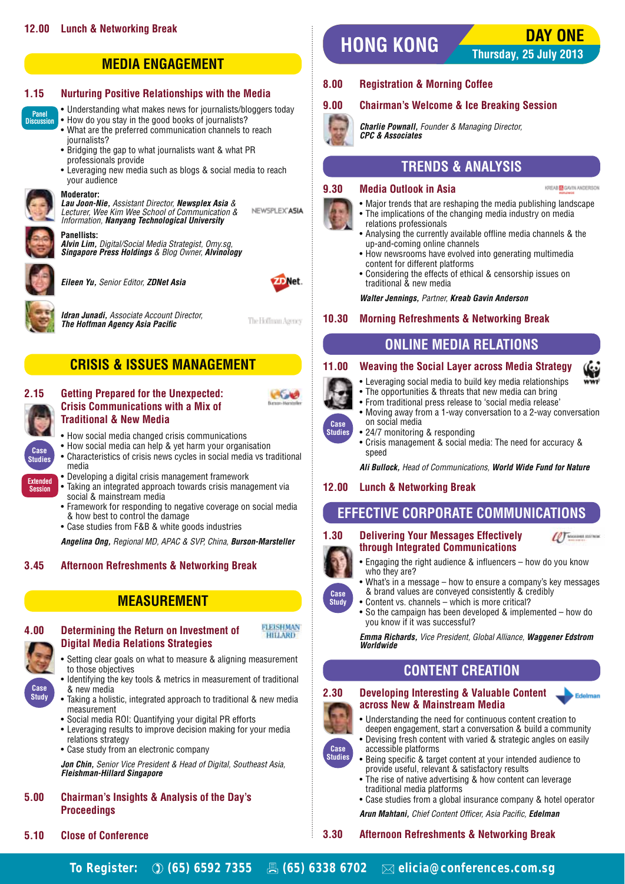

### **1.15 Nurturing Positive Relationships with the Media**

• Understanding what makes news for iournalists/bloggers today

- How do you stay in the good books of journalists? • What are the preferred communication channels to reach
- journalists? • Bridging the gap to what journalists want & what PR professionals provide
- Leveraging new media such as blogs & social media to reach your audience

## **Moderator:**

 *Lau Joon-Nie,* Assistant Director, *Newsplex Asia* & Lecturer, Wee Kim Wee School of Communication & Information, *Nanyang Technological University*



**Panel Discussion**

> **Panellists:**   *Alvin Lim,* Digital/Social Media Strategist, Omy.sg, *Singapore Press Holdings* & Blog Owner, *Alvinology*



 *Eileen Yu,* Senior Editor, *ZDNet Asia* 







The Hoffman Agency

NEWSPLEX"ASIA



## **CRISIS & ISSUES MANAGEMENT**

### **2.15 Getting Prepared for the Unexpected: Crisis Communications with a Mix of Traditional & New Media**

- How social media changed crisis communications
- How social media can help & yet harm your organisation
- Characteristics of crisis news cycles in social media vs traditional media
- Developing a digital crisis management framework
- Taking an integrated approach towards crisis management via social & mainstream media
- Framework for responding to negative coverage on social media & how best to control the damage
- Case studies from F&B & white goods industries

 *Angelina Ong,* Regional MD, APAC & SVP, China, *Burson-Marsteller*

### **3.45 Afternoon Refreshments & Networking Break**

### **MEASUREMENT**



### **4.00 Determining the Return on Investment of Digital Media Relations Strategies**



- Setting clear goals on what to measure & aligning measurement to those objectives
- Identifying the key tools & metrics in measurement of traditional & new media
- Taking a holistic, integrated approach to traditional & new media measurement
- Social media ROI: Quantifying your digital PR efforts
- Leveraging results to improve decision making for your media relations strategy
- Case study from an electronic company

 *Jon Chin,* Senior Vice President & Head of Digital, Southeast Asia, *Fleishman-Hillard Singapore* 

### **5.00 Chairman's Insights & Analysis of the Day's Proceedings**

**5.10 Close of Conference**

# **DAY ONE HONG KONG**

**Thursday, 25 July 2013**

KREAB **DE** GAVIN ANDERSON

### **8.00 Registration & Morning Coffee**

### **9.00 Chairman's Welcome & Ice Breaking Session**



 *Charlie Pownall,* Founder & Managing Director, *CPC & Associates* 

### **TRENDS & ANALYSIS**

#### **9.30 Media Outlook in Asia**

- Major trends that are reshaping the media publishing landscape
- 
- The implications of the changing media industry on media relations professionals
- Analysing the currently available offline media channels & the up-and-coming online channels
- How newsrooms have evolved into generating multimedia content for different platforms
- Considering the effects of ethical & censorship issues on traditional & new media

#### *Walter Jennings,* Partner, *Kreab Gavin Anderson*

### **10.30 Morning Refreshments & Networking Break**

## **ONLINE MEDIA RELATIONS**

### **11.00 Weaving the Social Layer across Media Strategy**

- Leveraging social media to build key media relationships
- The opportunities & threats that new media can bring
- From traditional press release to 'social media release'
	- Moving away from a 1-way conversation to a 2-way conversation on social media
	- 24/7 monitoring & responding
	- Crisis management & social media: The need for accuracy & speed

 *Ali Bullock,* Head of Communications, *World Wide Fund for Nature*

### **12.00 Lunch & Networking Break**

### **EFFECTIVE CORPORATE COMMUNICATIONS**

#### **1.30 Delivering Your Messages Effectively through Integrated Communications**



Edelman

- Engaging the right audience & influencers how do you know who they are? • What's in a message - how to ensure a company's key messages
- & brand values are conveyed consistently & credibly **Case Study**

**Case Studies**

> • Content vs. channels - which is more critical? • So the campaign has been developed & implemented – how do you know if it was successful?

 *Emma Richards,* Vice President, Global Alliance, *Waggener Edstrom Worldwide*

### **CONTENT CREATION**

### **2.30 Developing Interesting & Valuable Content across New & Mainstream Media**



**Studies**

- Understanding the need for continuous content creation to deepen engagement, start a conversation & build a community
- Devising fresh content with varied & strategic angles on easily accessible platforms
- Being specific & target content at your intended audience to provide useful, relevant & satisfactory results
- The rise of native advertising & how content can leverage traditional media platforms
- Case studies from a global insurance company & hotel operator

 *Arun Mahtani,* Chief Content Officer, Asia Pacific, *Edelman*

### **3.30 Afternoon Refreshments & Networking Break**



**FLEISHMAN HILLARD** 



**Session**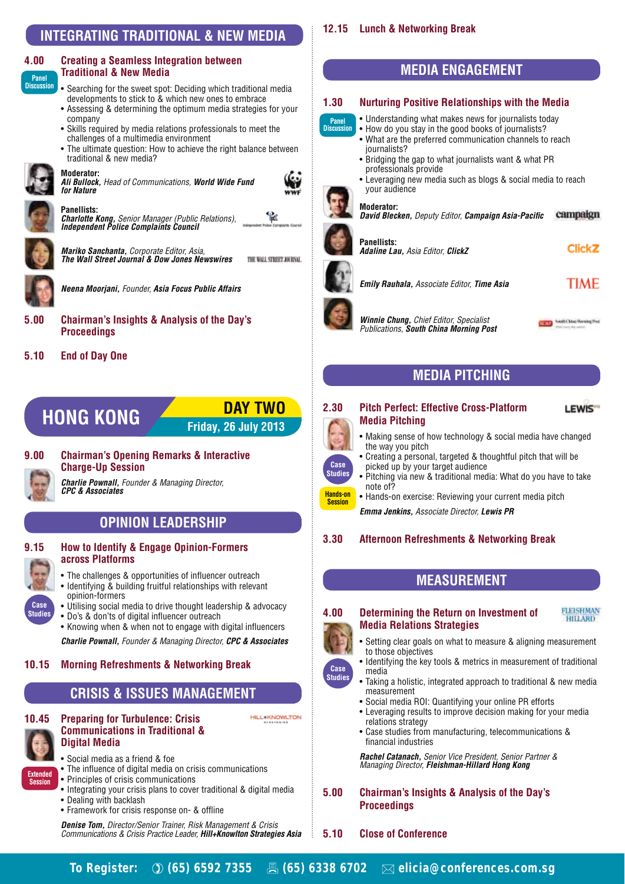### **INTEGRATING TRADITIONAL & NEW MEDIA**

#### **4.00 Creating a Seamless Integration between Traditional & New Media Panel**

- Searching for the sweet spot: Deciding which traditional media developments to stick to & which new ones to embrace
- Assessing & determining the optimum media strategies for your company
- Skills required by media relations professionals to meet the challenges of a multimedia environment
- The ultimate question: How to achieve the right balance between traditional & new media?



**Discussion**

**Moderator:** *Ali Bullock,* Head of Communications, *World Wide Fund for Nature*

*Charlotte Kong,* Senior Manager (Public Relations), *Independent Police Complaints Council*



*Mariko Sanchanta,* Corporate Editor, Asia, *The Wall Street Journal & Dow Jones Newswires* THE WALL STREET JOURNAL.



*Neena Moorjani,* Founder, *Asia Focus Public Affairs*

### **5.00 Chairman's Insights & Analysis of the Day's Proceedings**

### **5.10 End of Day One**

**Panellists:**



**Friday, 26 July 2013**

**9.00 Chairman's Opening Remarks & Interactive Charge-Up Session**

*Charlie Pownall,* Founder & Managing Director, *CPC & Associates*

### **OPINION LEADERSHIP**

### **9.15 How to Identify & Engage Opinion-Formers across Platforms**

- The challenges & opportunities of influencer outreach
- Identifying & building fruitful relationships with relevant opinion-formers
- Utilising social media to drive thought leadership & advocacy • Do's & don'ts of digital influencer outreach
- Knowing when & when not to engage with digital influencers

*Charlie Pownall,* Founder & Managing Director, *CPC & Associates*

#### **10.15 Morning Refreshments & Networking Break**

### **CRISIS & ISSUES MANAGEMENT**



**Case Studies**

**10.45 Preparing for Turbulence: Crisis Communications in Traditional & Digital Media**

- Social media as a friend & foe
- The influence of digital media on crisis communications
- Principles of crisis communications
- Integrating your crisis plans to cover traditional & digital media
- Dealing with backlash
- Framework for crisis response on- & offline

*Denise Tom,* Director/Senior Trainer, Risk Management & Crisis Communications & Crisis Practice Leader, *Hill+Knowlton Strategies Asia*

### **12.15 Lunch & Networking Break**



### **1.30 Nurturing Positive Relationships with the Media**

- Understanding what makes news for journalists today
- **Panel Discussion** • How do you stay in the good books of journalists?
	- What are the preferred communication channels to reach journalists?
	- Bridging the gap to what journalists want & what PR professionals provide
	- Leveraging new media such as blogs & social media to reach your audience



G

'id

#### **Moderator:**

campaign *David Blecken,* Deputy Editor, *Campaign Asia-Pacific*



**Panellists:** *Adaline Lau,* Asia Editor, *ClickZ*

#### **Click<sub>Z</sub>**

*Emily Rauhala,* Associate Editor, *Time Asia* 

### **TIME**

*Winnie Chung,* Chief Editor, Specialist Publications, *South China Morning Post*

**COLLEGE South China Morning Free** 

### **MEDIA PITCHING**

### LEWIS<sup>®</sup>

**FLEISHMAN HILLARD** 

#### **2.30 Pitch Perfect: Effective Cross-Platform Media Pitching**



• Making sense of how technology & social media have changed the way you pitch

- Creating a personal, targeted & thoughtful pitch that will be picked up by your target audience
- Pitching via new & traditional media: What do you have to take note of?
- Hands-on exercise: Reviewing your current media pitch

*Emma Jenkins,* Associate Director, *Lewis PR*

### **3.30 Afternoon Refreshments & Networking Break**

### **MEASUREMENT**

### **4.00 Determining the Return on Investment of Media Relations Strategies**



**Case Studies** • Setting clear goals on what to measure & aligning measurement

- to those objectives • Identifying the key tools & metrics in measurement of traditional media
- Taking a holistic, integrated approach to traditional & new media measurement
- Social media ROI: Quantifying your online PR efforts
- Leveraging results to improve decision making for your media relations strategy
- Case studies from manufacturing, telecommunications & financial industries

*Rachel Catanach,* Senior Vice President, Senior Partner & Managing Director, *Fleishman-Hillard Hong Kong*

**5.00 Chairman's Insights & Analysis of the Day's Proceedings**

#### **5.10 Close of Conference**

**To Register: (65) 6592 7355 (65) 6338 6702 elicia@conferences.com.sg** 

**HILL-KNOWLTON**